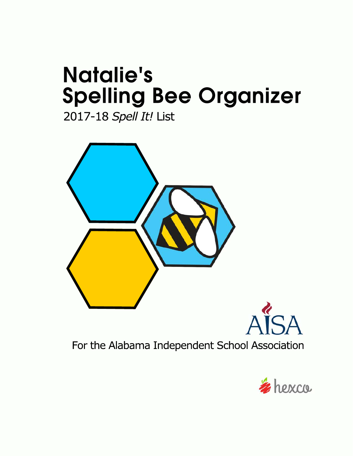# **Natalie's Spelling Bee Organizer**

2017-18 Spell It! List



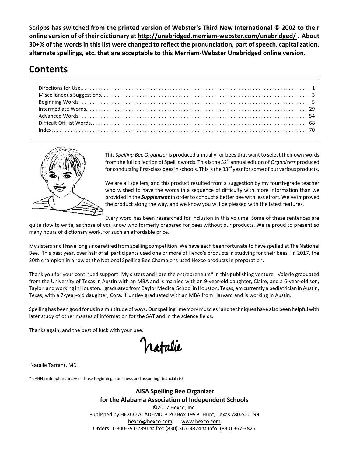**Scripps has switched from the printed version of Webster's Third New International © 2002 to their online version of of their dictionary at http://unabridged.merriam-webster.com/unabridged/ . About 30+% of the words in this list were changed to reflect the pronunciation, part of speech, capitalization, alternate spellings, etc. that are acceptable to this Merriam-Webster Unabridged online version.**

## **Contents**



This *Spelling Bee Organizer* is produced annually for beesthat want to select their own words from the full collection of Spell It words. This is the 32<sup>st</sup> annual edition of *Organizers* produced for conducting first-class bees in schools. This is the 33<sup>nd</sup> year for some of our various products.

We are all spellers, and this product resulted from a suggestion by my fourth-grade teacher who wished to have the words in a sequence of difficulty with more information than we provided in the *Supplement* in order to conduct a better bee with less effort. We've improved the product along the way, and we know you will be pleased with the latest features.

Every word has been researched for inclusion in this volume. Some of these sentences are

quite slow to write, as those of you know who formerly prepared for bees without our products. We're proud to present so many hours of dictionary work, for such an affordable price.

My sisters and I have long since retired from spelling competition. We have each been fortunate to have spelled at The National Bee. This past year, over half of all participants used one or more of Hexco's products in studying for their bees. In 2017, the 20th champion in a row at the National Spelling Bee Champions used Hexco products in preparation.

Thank you for your continued support! My sisters and I are the entrepreneurs\* in this publishing venture. Valerie graduated from the University of Texas in Austin with an MBA and is married with an 9-year-old daughter, Claire, and a 6-year-old son, Taylor, and working in Houston. I graduated from Baylor Medical School in Houston, Texas, am currently a pediatrician in Austin, Texas, with a 7-year-old daughter, Cora. Huntley graduated with an MBA from Harvard and is working in Austin.

Spelling has been good for usin a multitude of ways. Our spelling "memory muscles" and techniques have also been helpful with later study of other masses of information for the SAT and in the science fields.

Thanks again, and the best of luck with your bee.

ratalie

Natalie Tarrant, MD

\* <AHN.truh.puh.nuhrz>+ n those beginning a business and assuming financial risk

**AISA Spelling Bee Organizer for the Alabama Association of Independent Schools** ©2017 Hexco, Inc.

Published by HEXCO ACADEMIC • PO Box 199 • Hunt, Texas 78024-0199 hexco@hexco.com www.hexco.com Orders: 1-800-391-2891 F fax: (830) 367-3824 F Info: (830) 367-3825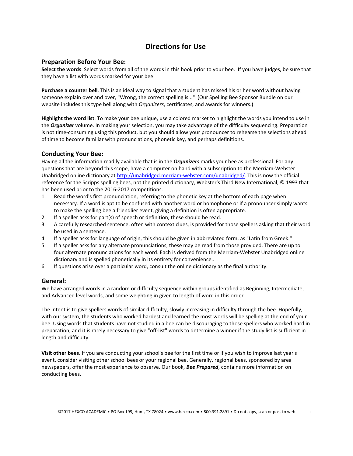#### **Directions for Use**

#### **Preparation Before Your Bee:**

**Select the words**. Select words from all of the words in this book prior to your bee. If you have judges, be sure that they have a list with words marked for your bee.

**Purchase a counter bell**. This is an ideal way to signal that a student has missed his or her word without having someone explain over and over, "Wrong, the correct spelling is..." (Our Spelling Bee Sponsor Bundle on our website includes this type bell along with *Organizers*, certificates, and awards for winners.)

**Highlight the word list**. To make your bee unique, use a colored market to highlight the words you intend to use in the *Organizer* volume. In making your selection, you may take advantage of the difficulty sequencing. Preparation is not time-consuming using this product, but you should allow your pronouncer to rehearse the selections ahead of time to become familiar with pronunciations, phonetic key, and perhaps definitions.

#### **Conducting Your Bee:**

Having all the information readily available that is in the *Organizers* marks your bee as professional. For any questions that are beyond this scope, have a computer on hand with a subscription to the Merriam-Webster Unabridged online dictionary at http://unabridged.merriam-webster.com/unabridged/. This is now the official reference for the Scripps spelling bees, not the printed dictionary, Webster's Third New International, © 1993 that has been used prior to the 2016-2017 competitions.

- 1. Read the word's first pronunciation, referring to the phonetic key at the bottom of each page when necessary. If a word is apt to be confused with another word or homophone or if a pronouncer simply wants to make the spelling bee a friendlier event, giving a definition is often appropriate.
- 2. If a speller asks for part(s) of speech or definition, these should be read.
- 3. A carefully researched sentence, often with context clues, is provided for those spellers asking that their word be used in a sentence.
- 4. If a speller asks for language of origin, this should be given in abbreviated form, as "Latin from Greek."
- 5. If a speller asks for any alternate pronunciations, these may be read from those provided. There are up to four alternate pronunciations for each word. Each is derived from the Merriam-Webster Unabridged online dictionary and is spelled phonetically in its entirety for convenience..
- 6. If questions arise over a particular word, consult the online dictionary as the final authority.

#### **General:**

We have arranged words in a random or difficulty sequence within groups identified as Beginning, Intermediate, and Advanced level words, and some weighting in given to length of word in this order.

The intent is to give spellers words of similar difficulty, slowly increasing in difficulty through the bee. Hopefully, with our system, the students who worked hardest and learned the most words will be spelling at the end of your bee. Using words that students have not studied in a bee can be discouraging to those spellers who worked hard in preparation, and it is rarely necessary to give "off-list" words to determine a winner if the study list is sufficient in length and difficulty.

**Visit other bees**. If you are conducting your school's bee for the first time or if you wish to improve last year's event, consider visiting other school bees or your regional bee. Generally, regional bees, sponsored by area newspapers, offer the most experience to observe. Our book, *Bee Prepared*, contains more information on conducting bees.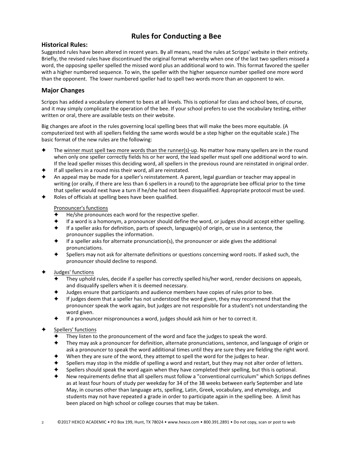### **Rules for Conducting a Bee**

#### **Historical Rules:**

Suggested rules have been altered in recent years. By all means, read the rules at Scripps' website in their entirety. Briefly, the revised rules have discontinued the original format whereby when one of the last two spellers missed a word, the opposing speller spelled the missed word plus an additional word to win. This format favored the speller with a higher numbered sequence. To win, the speller with the higher sequence number spelled one more word than the opponent. The lower numbered speller had to spell two words more than an opponent to win.

#### **Major Changes**

Scripps has added a vocabulary element to bees at all levels. This is optional for class and school bees, of course, and it may simply complicate the operation of the bee. If your school prefers to use the vocabulary testing, either written or oral, there are available tests on their website.

Big changes are afoot in the rules governing local spelling bees that will make the bees more equitable. (A computerized test with all spellers fielding the same words would be a step higher on the equitable scale.) The basic format of the new rules are the following:

- The winner must spell two more words than the runner(s)-up. No matter how many spellers are in the round when only one speller correctly fields his or her word, the lead speller must spell one additional word to win. If the lead speller misses this deciding word, all spellers in the previous round are reinstated in original order.
- If all spellers in a round miss their word, all are reinstated.
- An appeal may be made fo[r a speller's reinstatement. A parent, legal guardian or t](http://unabridged.merriam-webster.com/unabridged/)eacher may appeal in writing (or orally, if there are less than 6 spellers in a round) to the appropriate bee official prior to the time that speller would next have a turn if he/she had not been disqualified. Appropriate protocol must be used.
- Roles of officials at spelling bees have been qualified.

#### Pronouncer's functions

- He/she pronounces each word for the respective speller.
- If a word is a homonym, a pronouncer should define the word, or judges should accept either spelling.
- If a speller asks for definition, parts of speech, language(s) of origin, or use in a sentence, the pronouncer supplies the information.
- If a speller asks for alternate pronunciation(s), the pronouncer or aide gives the additional pronunciations.
- Spellers may not ask for alternate definitions or questions concerning word roots. If asked such, the pronouncer should decline to respond.
- Judges' functions
	- They uphold rules, decide if a speller has correctly spelled his/her word, render decisions on appeals, and disqualify spellers when it is deemed necessary.
	- Judges ensure that participants and audience members have copies of rules prior to bee.
	- If judges deem that a speller has not understood the word given, they may recommend that the pronouncer speak the work again, but judges are not responsible for a student's not understanding the word given.
	- If a pronouncer mispronounces a word, judges should ask him or her to correct it.
- Spellers' functions
	- They listen to the pronouncement of the word and face the judges to speak the word.
	- They may ask a pronouncer for definition, alternate pronunciations, sentence, and language of origin or ask a pronouncer to speak the word additional times until they are sure they are fielding the right word.
	- When they are sure of the word, they attempt to spell the word for the judges to hear.
	- Spellers may stop in the middle of spelling a word and restart, but they may not alter order of letters.
	- Spellers should speak the word again when they have completed their spelling, but this is optional.
	- New requirements define that all spellers must follow a "conventional curriculum" which Scripps defines as at least four hours of study per weekday for 34 of the 38 weeks between early September and late May, in courses other than language arts, spelling, Latin, Greek, vocabulary, and etymology, and students may not have repeated a grade in order to participate again in the spelling bee. A limit has been placed on high school or college courses that may be taken.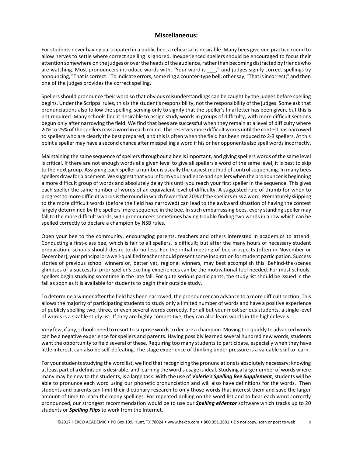#### **Miscellaneous:**

For students never having participated in a public bee, a rehearsal is desirable. Many bees give one practice round to allow nerves to settle where correct spelling is ignored. Inexperienced spellers should be encouraged to focus their attention somewhere on the judges or over the heads of the audience, rather than becoming distracted by friends who are watching. Most pronouncers introduce words with, "Your word is \_\_\_," and judges signify correct spellings by announcing, "That is correct." To indicate errors, some ring a counter-type bell; other say, "That is incorrect;" and then one of the judges provides the correct spelling.

Spellers should pronounce their word so that obvious misunderstandings can be caught by the judges before spelling begins. Under the Scripps' rules, this is the student's responsibility, not the responsibility of the judges. Some ask that pronunciations also follow the spelling, serving only to signify that the speller's final letter has been given, but this is not required. Many schools find it desirable to assign study words in groups of difficulty, with more difficult sections begun only after narrowing the field. We find that bees are successful when they remain at a level of difficulty where 20% to 25% of the spellers miss a word in each round. This reserves more difficult words until the contest has narrowed to spellers who are clearly the best prepared, and this is often when the field has been reduced to 2-3 spellers. At this point a speller may have a second chance after misspelling a word if his or her opponents also spell words incorrectly.

Maintaining the same sequence of spellers throughout a bee is important, and giving spellers words of the same level is critical. If there are not enough words at a given level to give all spellers a word of the same level, it is best to skip to the next group. Assigning each speller a number is usually the easiest method of control sequencing. In many bees spellers draw for placement. We suggest that you inform your audience and spellers when the pronouncer is beginning a more difficult group of words and absolutely delay this until you reach your first speller in the sequence. This gives each speller the same number of words of an equivalent level of difficulty. A suggested rule of thumb for when to progress to more difficult words is the round in which fewer that 20% of the spellers miss a word. Prematurely skipping to the more difficult words (before the field has narrowed) can lead to the awkward situation of having the contest largely determined by the spellers' mere sequence in the bee. In such embarrassing bees, every standing speller may fall to the more difficult words, with pronouncers sometimes having trouble finding two words in a row which can be spelled correctly to declare a champion by NSB rules.

Open your bee to the community, encouraging parents, teachers and others interested in academics to attend. Conducting a first-class bee, which is fair to all spellers, is difficult; but after the many hours of necessary student preparation, schools should desire to do no less. For the initial meeting of bee prospects (often in November or December), your principal or a well-qualified teacher should present some inspiration for student participation. Success stories of previous school winners or, better yet, regional winners, may best accomplish this. Behind-the-scenes glimpses of a successful prior speller's exciting experiences can be the motivational tool needed. For most schools, spellers begin studying sometime in the late fall. For quite serious participants, the study list should be issued in the fall as soon as it is available for students to begin their outside study.

To determine a winner after the field has been narrowed, the pronouncer can advance to a more difficult section. This allows the majority of participating students to study only a limited number of words and have a positive experience of publicly spelling two, three, or even several words correctly. For all but your most serious students, a single level of words is a sizable study list. If they are highly competitive, they can also learn words in the higher levels.

Very few, if any, schools need to resort to surprise words to declare a champion. Moving too quickly to advanced words can be a negative experience for spellers and parents. Having possibly learned several hundred new words, students want the opportunity to field several of these. Requiring too many students to participate, especially when they have little interest, can also be self-defeating. The stage experience of thinking under pressure is a valuable skill to learn.

For your students studying the word list, we find that recognizing the pronunciations is absolutely necessary; knowing at least part of a definition is desirable, and learning the word's usage is ideal. Studying a large number of words where many may be new to the students, is a large task. With the use of *Valerie's Spelling Bee Supplement*, students will be able to pronunce each word using our phonetic pronunciation and will also have definitions for the words. Then students and parents can limit their dictionary research to only those words that interest them and save the larger amount of time to learn the many spellings. For repeated drilling on the word list and to hear each word correctly pronounced, our strongest recommendation would be to use our *Spelling eMentor* software which tracks up to 20 students or *Spelling Flips* to work from the Internet.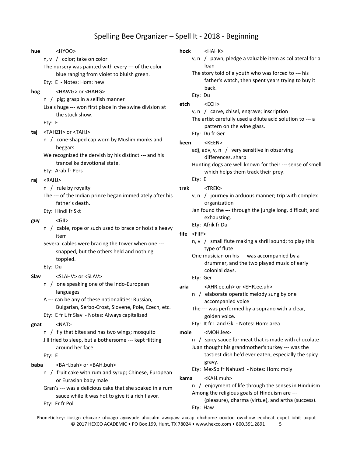#### Spelling Bee Organizer – Spell It - 2018 - Beginning

v, n / pawn, pledge a valuable item as collateral for a

father's watch, then spent years trying to buy it

The story told of a youth who was forced to --- his

The artist carefully used a dilute acid solution to --- a

Hunting dogs are well known for their --- sense of smell

v, n / journey in arduous manner; trip with complex

Jan found the --- through the jungle long, difficult, and

n,  $v /$  small flute making a shrill sound; to play this

drummer, and the two played music of early

One musician on his --- was accompanied by a

n / elaborate operatic melody sung by one

The --- was performed by a soprano with a clear,

n / spicy sauce for meat that is made with chocolate Juan thought his grandmother's turkey --- was the

n / enjoyment of life through the senses in Hinduism

(pleasure), dharma (virtue), and artha (success).

tastiest dish he'd ever eaten, especially the spicy

v, n / carve, chisel, engrave; inscription

adj, adv, v, n / very sensitive in observing

which helps them track their prey.

Ety: Haw

Ety: It fr L and Gk - Notes: Hom: area

Ety: MexSp fr Nahuatl - Notes: Hom: moly

Among the religious goals of Hinduism are ---

| hue  | <hyoo></hyoo>                                                                                                                         | hock                 | <hahk></hahk>                                                                                                                     |
|------|---------------------------------------------------------------------------------------------------------------------------------------|----------------------|-----------------------------------------------------------------------------------------------------------------------------------|
|      | n, v / color; take on color<br>The nursery was painted with every --- of the color                                                    |                      | v, n / pawn, pledge a valuable ite<br>loan                                                                                        |
|      | blue ranging from violet to bluish green.<br>Ety: E - Notes: Hom: hew                                                                 |                      | The story told of a youth who was<br>father's watch, then spent ye                                                                |
| hog  | <hawg> or <hahg><br/>n / pig; grasp in a selfish manner</hahg></hawg>                                                                 | etch                 | back.<br>Ety: Du<br>$<$ ECH $>$                                                                                                   |
|      | Lisa's huge --- won first place in the swine division at<br>the stock show.<br>Ety: E                                                 |                      | v, n / carve, chisel, engrave; insc<br>The artist carefully used a dilute ad                                                      |
| taj  | <tahzh> or <tahj></tahj></tahzh>                                                                                                      |                      | pattern on the wine glass.<br>Ety: Du fr Ger                                                                                      |
|      | n / cone-shaped cap worn by Muslim monks and                                                                                          | keen                 | <keen></keen>                                                                                                                     |
|      | beggars<br>We recognized the dervish by his distinct --- and his<br>trancelike devotional state.                                      |                      | adj, adv, v, n / very sensitive in o<br>differences, sharp<br>Hunting dogs are well known for th                                  |
|      | Ety: Arab fr Pers                                                                                                                     |                      | which helps them track their                                                                                                      |
| raj  | $<$ RAHJ $>$<br>n / rule by royalty                                                                                                   | trek                 | Ety: E<br>$<$ TREK $>$                                                                                                            |
|      | The --- of the Indian prince began immediately after his<br>father's death.                                                           |                      | v, n / journey in arduous manner<br>organization                                                                                  |
| guy  | Ety: Hindi fr Skt<br>$<$ Gll $>$                                                                                                      |                      | Jan found the --- through the jungl<br>exhausting.                                                                                |
|      | n / cable, rope or such used to brace or hoist a heavy<br>item                                                                        | $file$ <fiif></fiif> | Ety: Afrik fr Du                                                                                                                  |
|      | Several cables were bracing the tower when one ---<br>snapped, but the others held and nothing                                        |                      | n, v / small flute making a shrill s<br>type of flute                                                                             |
|      | toppled.<br>Ety: Du                                                                                                                   |                      | One musician on his --- was accom<br>drummer, and the two played<br>colonial days.                                                |
| Slav | <slahv> or <slav></slav></slahv>                                                                                                      |                      | Ety: Ger                                                                                                                          |
|      | n / one speaking one of the Indo-European<br>languages<br>A --- can be any of these nationalities: Russian,                           | aria                 | <ahr.ee.uh> or <ehr.ee.uh><br/>n / elaborate operatic melody su</ehr.ee.uh></ahr.ee.uh>                                           |
|      | Bulgarian, Serbo-Croat, Slovene, Pole, Czech, etc.<br>Ety: E fr L fr Slav - Notes: Always capitalized                                 |                      | accompanied voice<br>The --- was performed by a sopran<br>golden voice.                                                           |
| gnat | $<$ NAT $>$                                                                                                                           |                      | Ety: It fr L and Gk - Notes: Hom: a                                                                                               |
|      | n / fly that bites and has two wings; mosquito<br>Jill tried to sleep, but a bothersome --- kept flitting<br>around her face.         | mole                 | <moh.lee><br/>n / spicy sauce for meat that is n<br/>Juan thought his grandmother's tu</moh.lee>                                  |
|      | Ety: E                                                                                                                                |                      | tastiest dish he'd ever eaten,                                                                                                    |
| baba | <bah.bah> or <bah.buh><br/>n / fruit cake with rum and syrup; Chinese, European</bah.buh></bah.bah>                                   |                      | gravy.<br>Ety: MexSp fr Nahuatl - Notes: Ho                                                                                       |
|      | or Eurasian baby male<br>Gran's --- was a delicious cake that she soaked in a rum<br>sauce while it was hot to give it a rich flavor. | kama                 | <kah.muh><br/>n / enjoyment of life through the<br/>Among the religious goals of Hindu<br/>Coloscural dharma (virtual a</kah.muh> |

Ety: Fr fr Pol

Phonetic key: ii=sign eh=care uh=ago ay=wade ah=calm aw=paw a=cap oh=home oo=too ow=how ee=heat e=pet i=hit u=put © 2017 HEXCO ACADEMIC • PO Box 199, Hunt, TX 78024 • www.hexco.com • 800.391.2891 5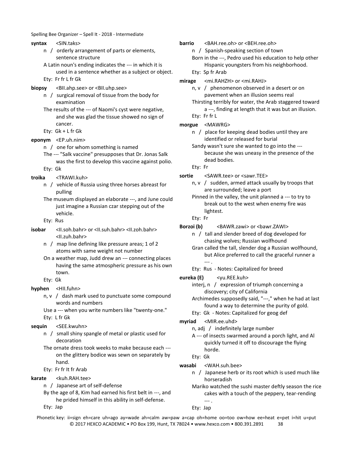Spelling Bee Organizer – Spell It - 2018 - Intermediate

- **syntax** <SIN.taks>
	- n / orderly arrangement of parts or elements, sentence structure
	- A Latin noun's ending indicates the --- in which it is used in a sentence whether as a subject or object.
	- Ety: Fr fr L fr Gk
- **biopsy** <BII.ahp.see> or <BII.uhp.see>
	- n / surgical removal of tissue from the body for examination
	- The results of the --- of Naomi's cyst were negative, and she was glad the tissue showed no sign of cancer.
	- Ety: Gk + L fr Gk
- **eponym** <EP.uh.nim>
	- n / one for whom something is named
	- The --- "Salk vaccine" presupposes that Dr. Jonas Salk was the first to develop this vaccine against polio. Ety: Gk
	-
- **troika** <TRAWI.kuh>
	- n / vehicle of Russia using three horses abreast for pulling
	- The museum displayed an elaborate ---, and June could just imagine a Russian czar stepping out of the vehicle.
	- Ety: Rus
- **isobar** <II.soh.bahr> or <II.suh.bahr> <II.zoh.bahr> <II.zuh.bahr>
	- n / map line defining like pressure areas; 1 of 2 atoms with same weight not number
	- On a weather map, Judd drew an --- connecting places having the same atmospheric pressure as his own town.
	- Ety: Gk
- **hyphen** <HII.fuhn>
	- $n, v$  / dash mark used to punctuate some compound words and numbers
	- Use a --- when you write numbers like "twenty-one." Ety: L fr Gk
- **sequin** <SEE.kwuhn>
	- n / small shiny spangle of metal or plastic used for decoration
	- The ornate dress took weeks to make because each -- on the glittery bodice was sewn on separately by hand.
	- Ety: Fr fr It fr Arab
- karate <kuh.RAH.tee>
	- n / Japanese art of self-defense
	- By the age of 8, Kim had earned his first belt in ---, and he prided himself in this ability in self-defense.
	- Ety: Jap
- **barrio** <BAH.ree.oh> or <BEH.ree.oh>
	- n / Spanish-speaking section of town
	- Born in the ---, Pedro used his education to help other Hispanic youngsters from his neighborhood. Ety: Sp fr Arab
- **mirage** <mi.RAHZH> or <mi.RAHJ>
	- n, v / phenomenon observed in a desert or on pavement when an illusion seems real
	- Thirsting terribly for water, the Arab staggered toward a ---, finding at length that it was but an illusion. Ety: Fr fr L
- **morgue** <MAWRG>
	- n / place for keeping dead bodies until they are identified or released for burial
	- Sandy wasn't sure she wanted to go into the -- because she was uneasy in the presence of the dead bodies.
	- Ety: Fr
- sortie <SAWR.tee> or <sawr.TEE>
	- n, v / sudden, armed attack usually by troops that are surrounded; leave a port
	- Pinned in the valley, the unit planned a --- to try to break out to the west when enemy fire was lightest.
	- Ety: Fr
- Borzoi (b) <BAWR.zawi> or <br/>bawr.ZAWI>
	- n / tall and slender breed of dog developed for chasing wolves; Russian wolfhound
	- Gran called the tall, slender dog a Russian wolfhound, but Alice preferred to call the graceful runner a --- .
	- Ety: Rus Notes: Capitalized for breed
- **eureka (E)** <yu.REE.kuh>
	- interj, n / expression of triumph concerning a discovery; city of California
	- Archimedes supposedly said, "---," when he had at last found a way to determine the purity of gold.
	- Ety: Gk Notes: Capitalized for geog def
- **myriad** <MIR.ee.uhd>
	- n, adj / indefinitely large number
	- A --- of insects swarmed around a porch light, and Al quickly turned it off to discourage the flying horde.
	- Ety: Gk
- **wasabi** <WAH.suh.bee>
	- n / Japanese herb or its root which is used much like horseradish
	- Mariko watched the sushi master deftly season the rice cakes with a touch of the peppery, tear-rending --- .
	- Ety: Jap

Phonetic key: ii=sign eh=care uh=ago ay=wade ah=calm aw=paw a=cap oh=home oo=too ow=how ee=heat e=pet i=hit u=put © 2017 HEXCO ACADEMIC • PO Box 199, Hunt, TX 78024 • www.hexco.com • 800.391.2891 38